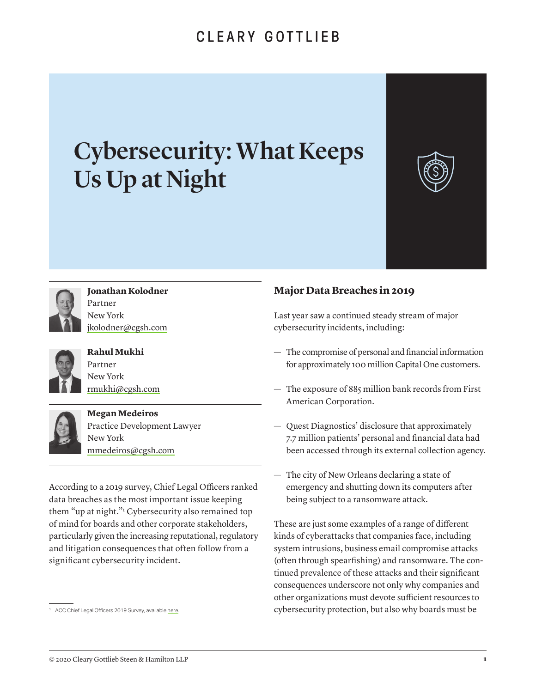# CLEARY GOTTLIEB

# Cybersecurity: What Keeps Us Up at Night





#### **Jonathan Kolodner** Partner

New York [jkolodner@cgsh.com](mailto:jkolodner%40cgsh.com?subject=Selected%20Issues%20for%20Boards%20of%20Directors%20in%202019)



#### **Rahul Mukhi** Partner New York

[rmukhi@cgsh.com](mailto:rmukhi%40cgsh.com?subject=Selected%20Issues%20for%20Boards%20of%20Directors%20in%202019)



**Megan Medeiros** Practice Development Lawyer New York mmedeiros[@cgsh.com](mailto:eronco%40cgsh.com?subject=Selected%20Issues%20for%20Boards%20of%20Directors%20in%202019)

According to a 2019 survey, Chief Legal Officers ranked data breaches as the most important issue keeping them "up at night."1 Cybersecurity also remained top of mind for boards and other corporate stakeholders, particularly given the increasing reputational, regulatory and litigation consequences that often follow from a significant cybersecurity incident.

## **Major Data Breaches in 2019**

Last year saw a continued steady stream of major cybersecurity incidents, including:

- The compromise of personal and financial information for approximately 100 million Capital One customers.
- The exposure of 885 million bank records from First American Corporation.
- Quest Diagnostics' disclosure that approximately 7.7 million patients' personal and financial data had been accessed through its external collection agency.
- The city of New Orleans declaring a state of emergency and shutting down its computers after being subject to a ransomware attack.

These are just some examples of a range of different kinds of cyberattacks that companies face, including system intrusions, business email compromise attacks (often through spearfishing) and ransomware. The continued prevalence of these attacks and their significant consequences underscore not only why companies and other organizations must devote sufficient resources to cybersecurity protection, but also why boards must be

<sup>&</sup>lt;sup>1</sup> ACC Chief Legal Officers 2019 Survey, available [here](https://www.acc.com/sites/default/files/resources/upload/2019-ACC-Chief-Legal-Officers-Survey.pdf).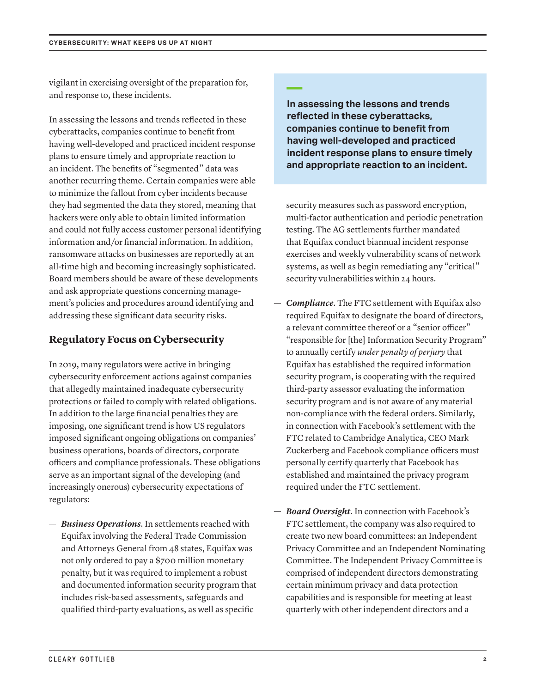vigilant in exercising oversight of the preparation for, and response to, these incidents.

In assessing the lessons and trends reflected in these cyberattacks, companies continue to benefit from having well-developed and practiced incident response plans to ensure timely and appropriate reaction to an incident. The benefits of "segmented" data was another recurring theme. Certain companies were able to minimize the fallout from cyber incidents because they had segmented the data they stored, meaning that hackers were only able to obtain limited information and could not fully access customer personal identifying information and/or financial information. In addition, ransomware attacks on businesses are reportedly at an all-time high and becoming increasingly sophisticated. Board members should be aware of these developments and ask appropriate questions concerning management's policies and procedures around identifying and addressing these significant data security risks.

#### **Regulatory Focus on Cybersecurity**

In 2019, many regulators were active in bringing cybersecurity enforcement actions against companies that allegedly maintained inadequate cybersecurity protections or failed to comply with related obligations. In addition to the large financial penalties they are imposing, one significant trend is how US regulators imposed significant ongoing obligations on companies' business operations, boards of directors, corporate officers and compliance professionals. These obligations serve as an important signal of the developing (and increasingly onerous) cybersecurity expectations of regulators:

— *Business Operations*. In settlements reached with Equifax involving the Federal Trade Commission and Attorneys General from 48 states, Equifax was not only ordered to pay a \$700 million monetary penalty, but it was required to implement a robust and documented information security program that includes risk-based assessments, safeguards and qualified third-party evaluations, as well as specific

## **—**

**In assessing the lessons and trends reflected in these cyberattacks, companies continue to benefit from having well-developed and practiced incident response plans to ensure timely and appropriate reaction to an incident.** 

security measures such as password encryption, multi-factor authentication and periodic penetration testing. The AG settlements further mandated that Equifax conduct biannual incident response exercises and weekly vulnerability scans of network systems, as well as begin remediating any "critical" security vulnerabilities within 24 hours.

- *Compliance*. The FTC settlement with Equifax also required Equifax to designate the board of directors, a relevant committee thereof or a "senior officer" "responsible for [the] Information Security Program" to annually certify *under penalty of perjury* that Equifax has established the required information security program, is cooperating with the required third-party assessor evaluating the information security program and is not aware of any material non-compliance with the federal orders. Similarly, in connection with Facebook's settlement with the FTC related to Cambridge Analytica, CEO Mark Zuckerberg and Facebook compliance officers must personally certify quarterly that Facebook has established and maintained the privacy program required under the FTC settlement.
- *Board Oversight*. In connection with Facebook's FTC settlement, the company was also required to create two new board committees: an Independent Privacy Committee and an Independent Nominating Committee. The Independent Privacy Committee is comprised of independent directors demonstrating certain minimum privacy and data protection capabilities and is responsible for meeting at least quarterly with other independent directors and a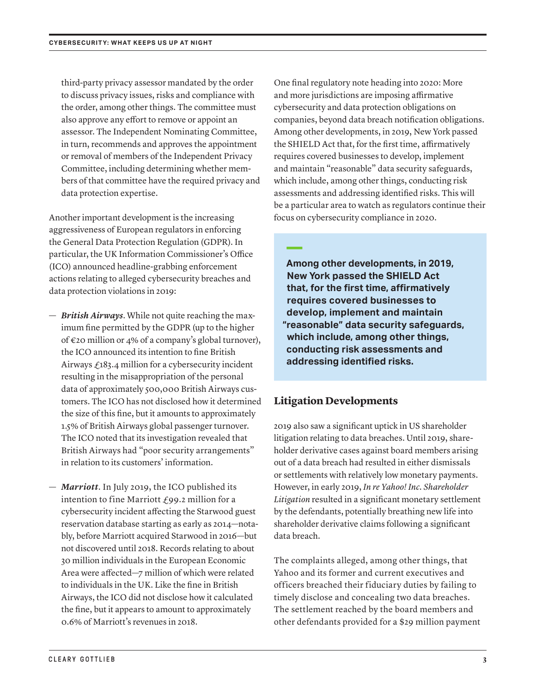third-party privacy assessor mandated by the order to discuss privacy issues, risks and compliance with the order, among other things. The committee must also approve any effort to remove or appoint an assessor. The Independent Nominating Committee, in turn, recommends and approves the appointment or removal of members of the Independent Privacy Committee, including determining whether members of that committee have the required privacy and data protection expertise.

Another important development is the increasing aggressiveness of European regulators in enforcing the General Data Protection Regulation (GDPR). In particular, the UK Information Commissioner's Office (ICO) announced headline-grabbing enforcement actions relating to alleged cybersecurity breaches and data protection violations in 2019:

- *British Airways*. While not quite reaching the maximum fine permitted by the GDPR (up to the higher of €20 million or 4% of a company's global turnover), the ICO announced its intention to fine British Airways  $f_183.4$  million for a cybersecurity incident resulting in the misappropriation of the personal data of approximately 500,000 British Airways customers. The ICO has not disclosed how it determined the size of this fine, but it amounts to approximately 1.5% of British Airways global passenger turnover. The ICO noted that its investigation revealed that British Airways had "poor security arrangements" in relation to its customers' information.
- *Marriott*. In July 2019, the ICO published its intention to fine Marriott  $f$ 99.2 million for a cybersecurity incident affecting the Starwood guest reservation database starting as early as 2014—notably, before Marriott acquired Starwood in 2016—but not discovered until 2018. Records relating to about 30 million individuals in the European Economic Area were affected—7 million of which were related to individuals in the UK. Like the fine in British Airways, the ICO did not disclose how it calculated the fine, but it appears to amount to approximately 0.6% of Marriott's revenues in 2018.

One final regulatory note heading into 2020: More and more jurisdictions are imposing affirmative cybersecurity and data protection obligations on companies, beyond data breach notification obligations. Among other developments, in 2019, New York passed the SHIELD Act that, for the first time, affirmatively requires covered businesses to develop, implement and maintain "reasonable" data security safeguards, which include, among other things, conducting risk assessments and addressing identified risks. This will be a particular area to watch as regulators continue their focus on cybersecurity compliance in 2020.

**— Among other developments, in 2019, New York passed the SHIELD Act that, for the first time, affirmatively requires covered businesses to develop, implement and maintain "reasonable" data security safeguards, which include, among other things, conducting risk assessments and addressing identified risks.** 

#### **Litigation Developments**

2019 also saw a significant uptick in US shareholder litigation relating to data breaches. Until 2019, shareholder derivative cases against board members arising out of a data breach had resulted in either dismissals or settlements with relatively low monetary payments. However, in early 2019, *In re Yahoo! Inc. Shareholder Litigation* resulted in a significant monetary settlement by the defendants, potentially breathing new life into shareholder derivative claims following a significant data breach.

The complaints alleged, among other things, that Yahoo and its former and current executives and officers breached their fiduciary duties by failing to timely disclose and concealing two data breaches. The settlement reached by the board members and other defendants provided for a \$29 million payment